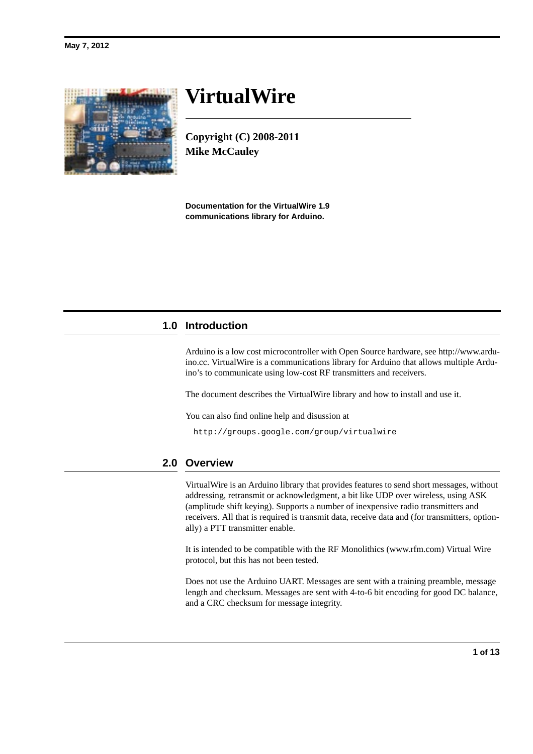# **VirtualWire**

**Copyright (C) 2008-2011 Mike McCauley**

**Documentation for the VirtualWire 1.9 communications library for Arduino.**

# **1.0 Introduction**

Arduino is a low cost microcontroller with Open Source hardware, see http://www.arduino.cc. VirtualWire is a communications library for Arduino that allows multiple Arduino's to communicate using low-cost RF transmitters and receivers.

The document describes the VirtualWire library and how to install and use it.

You can also find online help and disussion at

http://groups.google.com/group/virtualwire

# **2.0 Overview**

VirtualWire is an Arduino library that provides features to send short messages, without addressing, retransmit or acknowledgment, a bit like UDP over wireless, using ASK (amplitude shift keying). Supports a number of inexpensive radio transmitters and receivers. All that is required is transmit data, receive data and (for transmitters, optionally) a PTT transmitter enable.

It is intended to be compatible with the RF Monolithics (www.rfm.com) Virtual Wire protocol, but this has not been tested.

Does not use the Arduino UART. Messages are sent with a training preamble, message length and checksum. Messages are sent with 4-to-6 bit encoding for good DC balance, and a CRC checksum for message integrity.

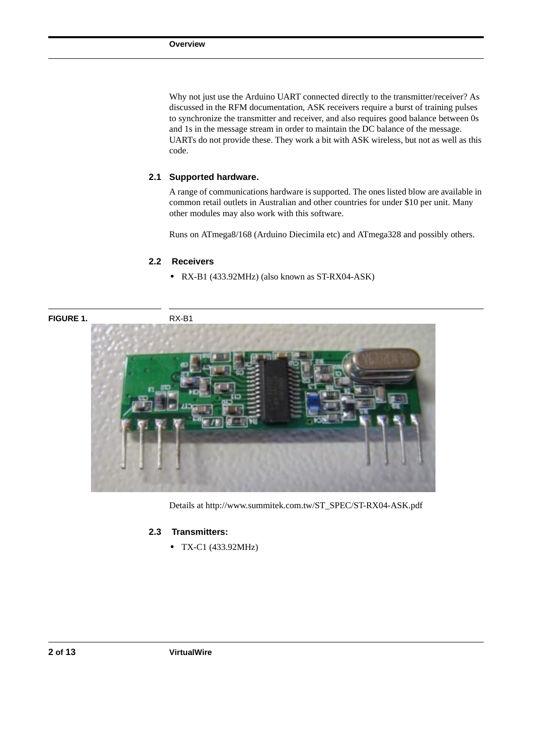Why not just use the Arduino UART connected directly to the transmitter/receiver? As discussed in the RFM documentation, ASK receivers require a burst of training pulses to synchronize the transmitter and receiver, and also requires good balance between 0s and 1s in the message stream in order to maintain the DC balance of the message. UARTs do not provide these. They work a bit with ASK wireless, but not as well as this code.

#### **2.1 Supported hardware.**

A range of communications hardware is supported. The ones listed blow are available in common retail outlets in Australian and other countries for under \$10 per unit. Many other modules may also work with this software.

Runs on ATmega8/168 (Arduino Diecimila etc) and ATmega328 and possibly others.

#### **2.2 Receivers**

**•** RX-B1 (433.92MHz) (also known as ST-RX04-ASK)



Details at http://www.summitek.com.tw/ST\_SPEC/ST-RX04-ASK.pdf

#### **2.3 Transmitters:**

**•** TX-C1 (433.92MHz)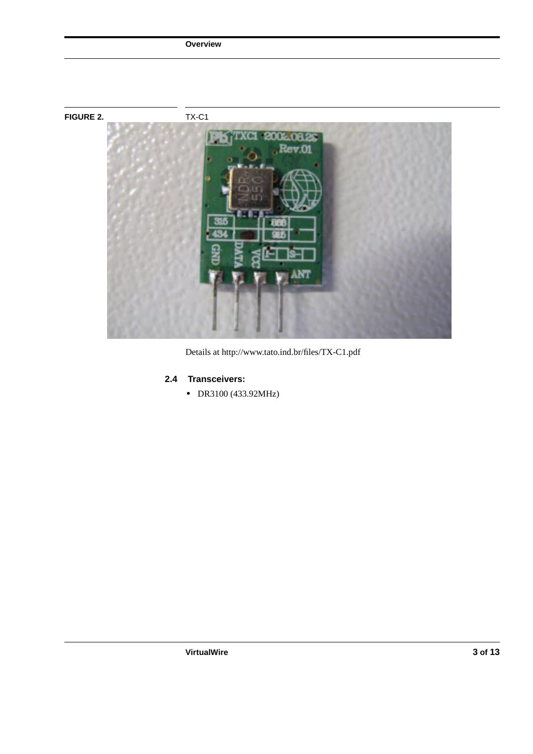

Details at http://www.tato.ind.br/files/TX-C1.pdf

# **2.4 Transceivers:**

**Overview**

**•** DR3100 (433.92MHz)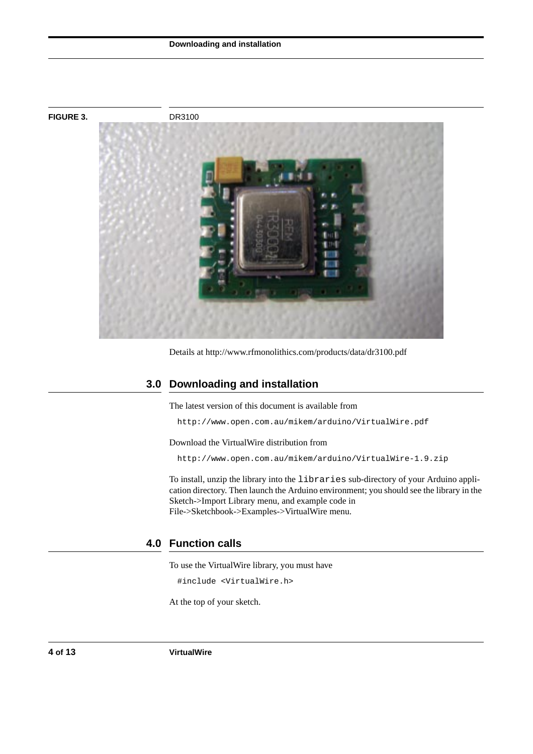#### **Downloading and installation**



Details at http://www.rfmonolithics.com/products/data/dr3100.pdf

### **3.0 Downloading and installation**

The latest version of this document is available from

http://www.open.com.au/mikem/arduino/VirtualWire.pdf

Download the VirtualWire distribution from

http://www.open.com.au/mikem/arduino/VirtualWire-1.9.zip

To install, unzip the library into the libraries sub-directory of your Arduino application directory. Then launch the Arduino environment; you should see the library in the Sketch->Import Library menu, and example code in File->Sketchbook->Examples->VirtualWire menu.

# **4.0 Function calls**

To use the VirtualWire library, you must have

#include <VirtualWire.h>

At the top of your sketch.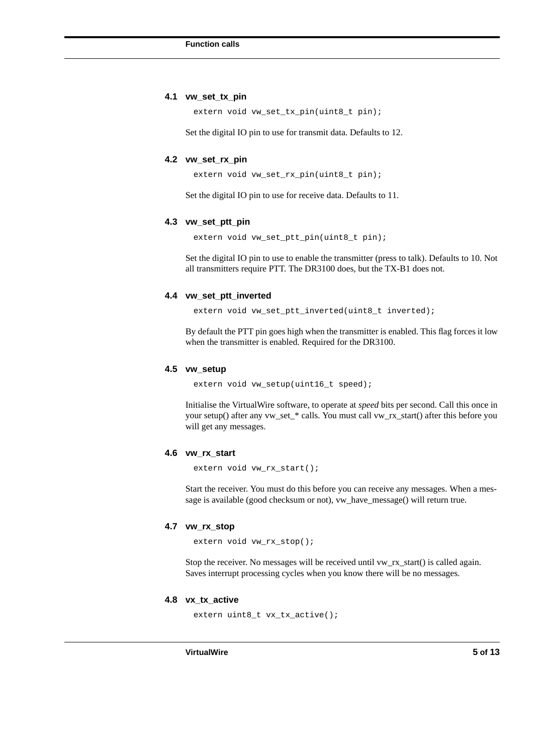#### **4.1 vw\_set\_tx\_pin**

extern void vw\_set\_tx\_pin(uint8\_t pin);

Set the digital IO pin to use for transmit data. Defaults to 12.

#### **4.2 vw\_set\_rx\_pin**

extern void vw\_set\_rx\_pin(uint8\_t pin);

Set the digital IO pin to use for receive data. Defaults to 11.

#### **4.3 vw\_set\_ptt\_pin**

extern void vw\_set\_ptt\_pin(uint8\_t pin);

Set the digital IO pin to use to enable the transmitter (press to talk). Defaults to 10. Not all transmitters require PTT. The DR3100 does, but the TX-B1 does not.

#### **4.4 vw\_set\_ptt\_inverted**

extern void vw\_set\_ptt\_inverted(uint8\_t inverted);

By default the PTT pin goes high when the transmitter is enabled. This flag forces it low when the transmitter is enabled. Required for the DR3100.

#### **4.5 vw\_setup**

extern void vw\_setup(uint16\_t speed);

Initialise the VirtualWire software, to operate at *speed* bits per second. Call this once in your setup() after any vw\_set\_\* calls. You must call vw\_rx\_start() after this before you will get any messages.

#### **4.6 vw\_rx\_start**

extern void vw\_rx\_start();

Start the receiver. You must do this before you can receive any messages. When a message is available (good checksum or not), vw\_have\_message() will return true.

#### **4.7 vw\_rx\_stop**

extern void vw\_rx\_stop();

Stop the receiver. No messages will be received until vw\_rx\_start() is called again. Saves interrupt processing cycles when you know there will be no messages.

#### **4.8 vx\_tx\_active**

extern uint8\_t vx\_tx\_active();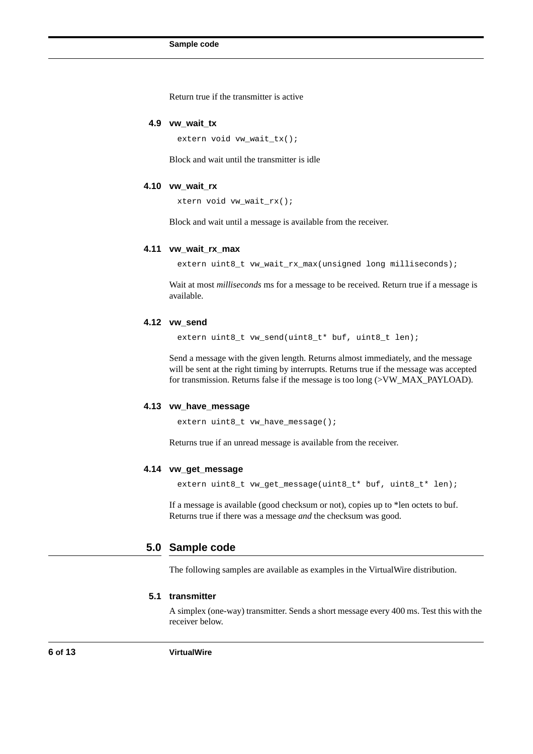Return true if the transmitter is active

#### **4.9 vw\_wait\_tx**

extern void vw\_wait\_tx();

Block and wait until the transmitter is idle

#### **4.10 vw\_wait\_rx**

xtern void vw\_wait\_rx();

Block and wait until a message is available from the receiver.

#### **4.11 vw\_wait\_rx\_max**

extern uint8\_t vw\_wait\_rx\_max(unsigned long milliseconds);

Wait at most *milliseconds* ms for a message to be received. Return true if a message is available.

#### **4.12 vw\_send**

extern uint8\_t vw\_send(uint8\_t\* buf, uint8\_t len);

Send a message with the given length. Returns almost immediately, and the message will be sent at the right timing by interrupts. Returns true if the message was accepted for transmission. Returns false if the message is too long (>VW\_MAX\_PAYLOAD).

#### **4.13 vw\_have\_message**

extern uint8\_t vw\_have\_message();

Returns true if an unread message is available from the receiver.

#### **4.14 vw\_get\_message**

extern uint8\_t vw\_get\_message(uint8\_t\* buf, uint8\_t\* len);

If a message is available (good checksum or not), copies up to \*len octets to buf. Returns true if there was a message *and* the checksum was good.

#### **5.0 Sample code**

The following samples are available as examples in the VirtualWire distribution.

#### **5.1 transmitter**

A simplex (one-way) transmitter. Sends a short message every 400 ms. Test this with the receiver below.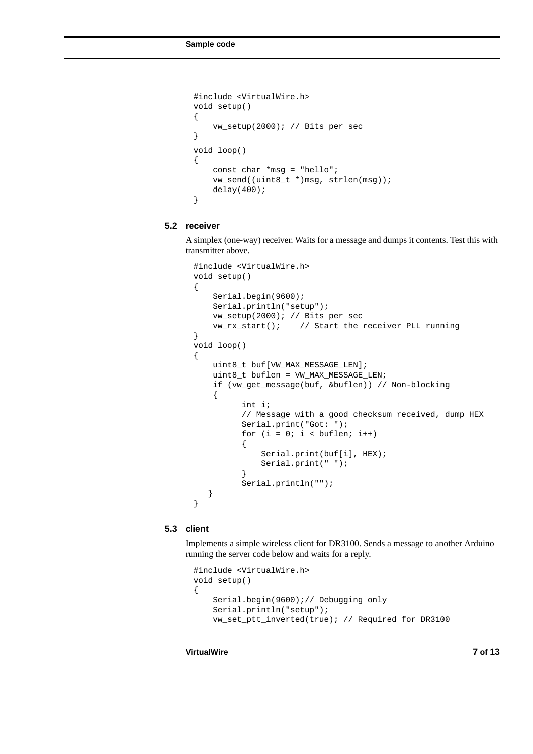```
#include <VirtualWire.h>
void setup()
{
     vw_setup(2000); // Bits per sec
}
void loop()
{
     const char *msg = "hello";
     vw_send((uint8_t *)msg, strlen(msg));
     delay(400);
}
```
#### **5.2 receiver**

A simplex (one-way) receiver. Waits for a message and dumps it contents. Test this with transmitter above.

```
#include <VirtualWire.h>
void setup()
{
     Serial.begin(9600);
     Serial.println("setup");
     vw_setup(2000); // Bits per sec
     vw_rx_start(); // Start the receiver PLL running
}
void loop()
{
     uint8_t buf[VW_MAX_MESSAGE_LEN];
     uint8_t buflen = VW_MAX_MESSAGE_LEN;
     if (vw_get_message(buf, &buflen)) // Non-blocking
     {
          int i;
          // Message with a good checksum received, dump HEX
          Serial.print("Got: ");
          for (i = 0; i < buflen; i++){
               Serial.print(buf[i], HEX);
               Serial.print(" ");
          }
          Serial.println("");
    }
}
```
#### **5.3 client**

Implements a simple wireless client for DR3100. Sends a message to another Arduino running the server code below and waits for a reply.

```
#include <VirtualWire.h>
void setup()
{
     Serial.begin(9600);// Debugging only
     Serial.println("setup");
     vw_set_ptt_inverted(true); // Required for DR3100
```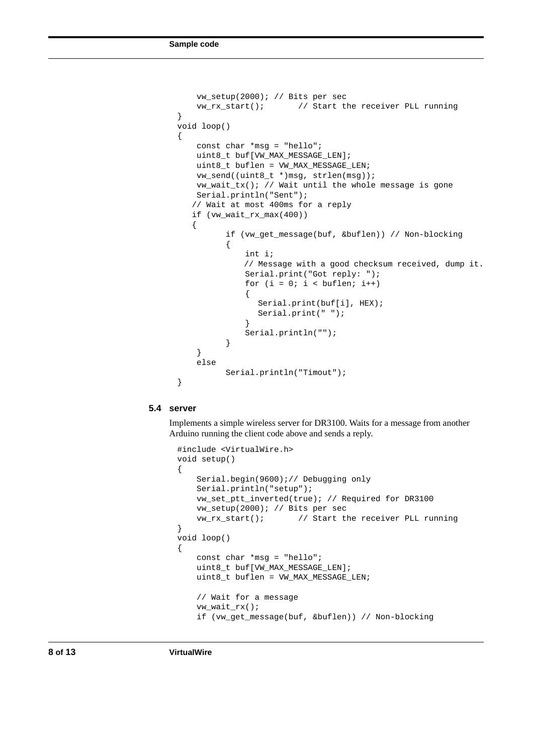```
 vw_setup(2000); // Bits per sec
     vw_rx_start(); // Start the receiver PLL running
}
void loop()
{
     const char *msg = "hello";
     uint8_t buf[VW_MAX_MESSAGE_LEN];
    uint8_t buflen = VW_MAX_MESSAGE_LEN;
     vw_send((uint8_t *)msg, strlen(msg));
     vw_wait_tx(); // Wait until the whole message is gone
     Serial.println("Sent");
    // Wait at most 400ms for a reply
    if (vw_wait_rx_max(400))
    {
          if (vw_get_message(buf, &buflen)) // Non-blocking
          {
               int i;
              // Message with a good checksum received, dump it.
               Serial.print("Got reply: ");
              for (i = 0; i < buflen; i++) {
                 Serial.print(buf[i], HEX);
                 Serial.print(" ");
               }
               Serial.println("");
          }
     }
     else
          Serial.println("Timout");
}
```
#### **5.4 server**

Implements a simple wireless server for DR3100. Waits for a message from another Arduino running the client code above and sends a reply.

```
#include <VirtualWire.h>
void setup()
{
     Serial.begin(9600);// Debugging only
     Serial.println("setup");
     vw_set_ptt_inverted(true); // Required for DR3100
     vw_setup(2000); // Bits per sec
     vw_rx_start(); // Start the receiver PLL running
}
void loop()
{
     const char *msg = "hello";
     uint8_t buf[VW_MAX_MESSAGE_LEN];
     uint8_t buflen = VW_MAX_MESSAGE_LEN;
     // Wait for a message
     vw_wait_rx();
     if (vw_get_message(buf, &buflen)) // Non-blocking
```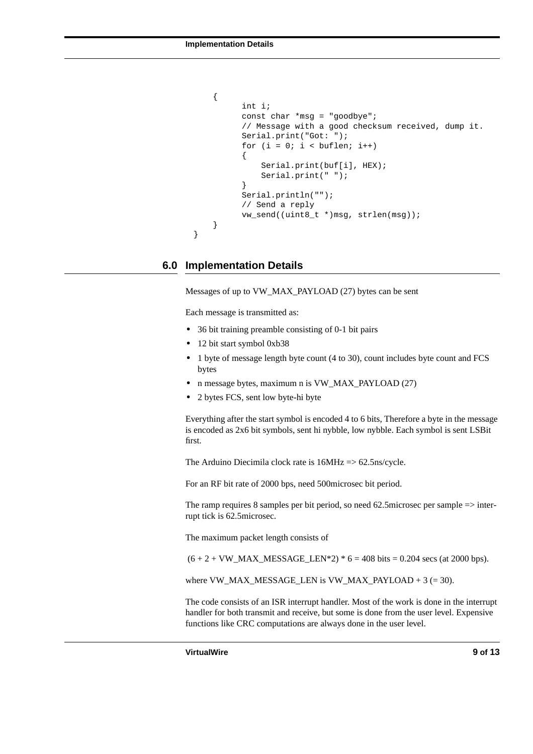```
 {
      int i;
      const char *msg = "goodbye";
      // Message with a good checksum received, dump it.
      Serial.print("Got: ");
      for (i = 0; i < buflen; i^{++})
      {
           Serial.print(buf[i], HEX);
           Serial.print(" ");
      }
      Serial.println("");
      // Send a reply
      vw_send((uint8_t *)msg, strlen(msg));
 }
```
#### **6.0 Implementation Details**

}

Messages of up to VW\_MAX\_PAYLOAD (27) bytes can be sent

Each message is transmitted as:

- **•** 36 bit training preamble consisting of 0-1 bit pairs
- **•** 12 bit start symbol 0xb38
- **•** 1 byte of message length byte count (4 to 30), count includes byte count and FCS bytes
- **•** n message bytes, maximum n is VW\_MAX\_PAYLOAD (27)
- **•** 2 bytes FCS, sent low byte-hi byte

Everything after the start symbol is encoded 4 to 6 bits, Therefore a byte in the message is encoded as 2x6 bit symbols, sent hi nybble, low nybble. Each symbol is sent LSBit first.

The Arduino Diecimila clock rate is 16MHz => 62.5ns/cycle.

For an RF bit rate of 2000 bps, need 500microsec bit period.

The ramp requires 8 samples per bit period, so need 62.5microsec per sample => interrupt tick is 62.5microsec.

The maximum packet length consists of

 $(6 + 2 + VW\_MAX\_MESAGE\_LEN*2) * 6 = 408 \text{ bits} = 0.204 \text{ secs (at } 2000 \text{ bps}).$ 

where  $VW\_MAX\_MESSAGE\_LEN$  is  $VW\_MAX\_PAYLOAD + 3 (= 30)$ .

The code consists of an ISR interrupt handler. Most of the work is done in the interrupt handler for both transmit and receive, but some is done from the user level. Expensive functions like CRC computations are always done in the user level.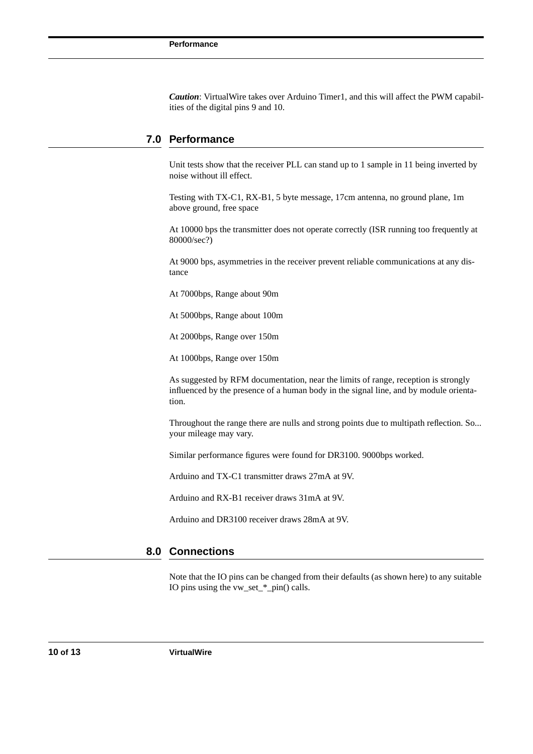*Caution*: VirtualWire takes over Arduino Timer1, and this will affect the PWM capabilities of the digital pins 9 and 10.

## **7.0 Performance**

Unit tests show that the receiver PLL can stand up to 1 sample in 11 being inverted by noise without ill effect.

Testing with TX-C1, RX-B1, 5 byte message, 17cm antenna, no ground plane, 1m above ground, free space

At 10000 bps the transmitter does not operate correctly (ISR running too frequently at 80000/sec?)

At 9000 bps, asymmetries in the receiver prevent reliable communications at any distance

At 7000bps, Range about 90m

At 5000bps, Range about 100m

At 2000bps, Range over 150m

At 1000bps, Range over 150m

As suggested by RFM documentation, near the limits of range, reception is strongly influenced by the presence of a human body in the signal line, and by module orientation.

Throughout the range there are nulls and strong points due to multipath reflection. So... your mileage may vary.

Similar performance figures were found for DR3100. 9000bps worked.

Arduino and TX-C1 transmitter draws 27mA at 9V.

Arduino and RX-B1 receiver draws 31mA at 9V.

Arduino and DR3100 receiver draws 28mA at 9V.

#### **8.0 Connections**

Note that the IO pins can be changed from their defaults (as shown here) to any suitable IO pins using the vw\_set\_\*\_pin() calls.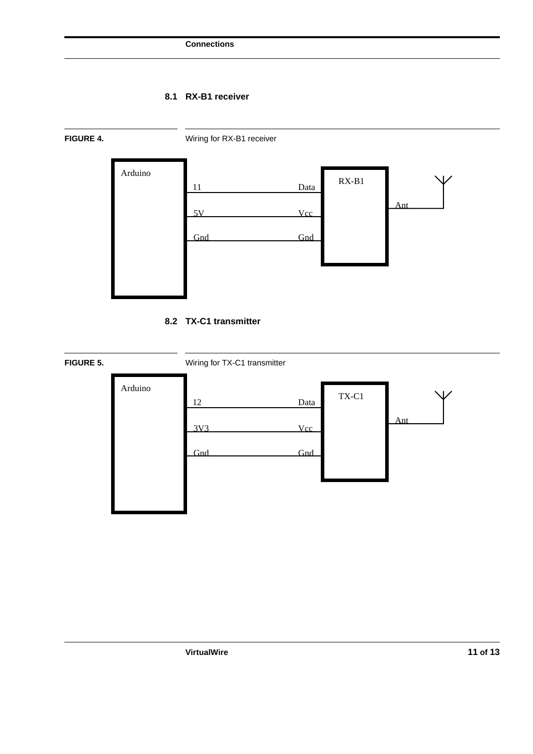# **8.1 RX-B1 receiver**



**8.2 TX-C1 transmitter**

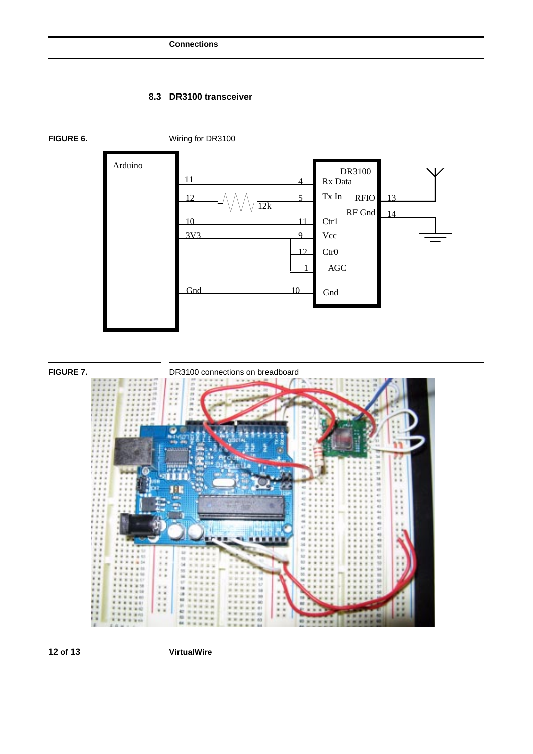# **8.3 DR3100 transceiver**





**12 of 13 VirtualWire**